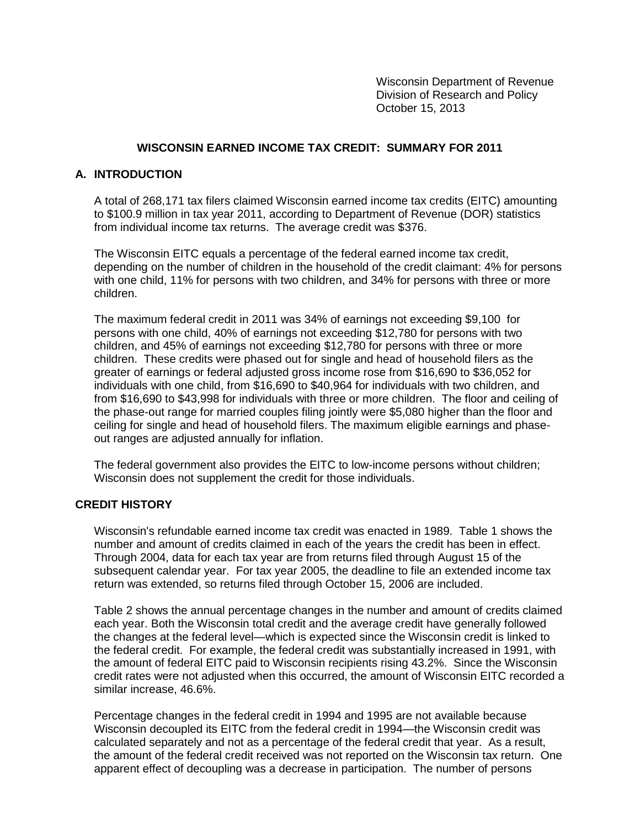Wisconsin Department of Revenue Division of Research and Policy October 15, 2013

## **WISCONSIN EARNED INCOME TAX CREDIT: SUMMARY FOR 2011**

## **A. INTRODUCTION**

A total of 268,171 tax filers claimed Wisconsin earned income tax credits (EITC) amounting to \$100.9 million in tax year 2011, according to Department of Revenue (DOR) statistics from individual income tax returns. The average credit was \$376.

The Wisconsin EITC equals a percentage of the federal earned income tax credit, depending on the number of children in the household of the credit claimant: 4% for persons with one child, 11% for persons with two children, and 34% for persons with three or more children.

The maximum federal credit in 2011 was 34% of earnings not exceeding \$9,100 for persons with one child, 40% of earnings not exceeding \$12,780 for persons with two children, and 45% of earnings not exceeding \$12,780 for persons with three or more children. These credits were phased out for single and head of household filers as the greater of earnings or federal adjusted gross income rose from \$16,690 to \$36,052 for individuals with one child, from \$16,690 to \$40,964 for individuals with two children, and from \$16,690 to \$43,998 for individuals with three or more children. The floor and ceiling of the phase-out range for married couples filing jointly were \$5,080 higher than the floor and ceiling for single and head of household filers. The maximum eligible earnings and phaseout ranges are adjusted annually for inflation.

The federal government also provides the EITC to low-income persons without children; Wisconsin does not supplement the credit for those individuals.

## **CREDIT HISTORY**

Wisconsin's refundable earned income tax credit was enacted in 1989. Table 1 shows the number and amount of credits claimed in each of the years the credit has been in effect. Through 2004, data for each tax year are from returns filed through August 15 of the subsequent calendar year. For tax year 2005, the deadline to file an extended income tax return was extended, so returns filed through October 15, 2006 are included.

Table 2 shows the annual percentage changes in the number and amount of credits claimed each year. Both the Wisconsin total credit and the average credit have generally followed the changes at the federal level—which is expected since the Wisconsin credit is linked to the federal credit. For example, the federal credit was substantially increased in 1991, with the amount of federal EITC paid to Wisconsin recipients rising 43.2%. Since the Wisconsin credit rates were not adjusted when this occurred, the amount of Wisconsin EITC recorded a similar increase, 46.6%.

Percentage changes in the federal credit in 1994 and 1995 are not available because Wisconsin decoupled its EITC from the federal credit in 1994—the Wisconsin credit was calculated separately and not as a percentage of the federal credit that year. As a result, the amount of the federal credit received was not reported on the Wisconsin tax return. One apparent effect of decoupling was a decrease in participation. The number of persons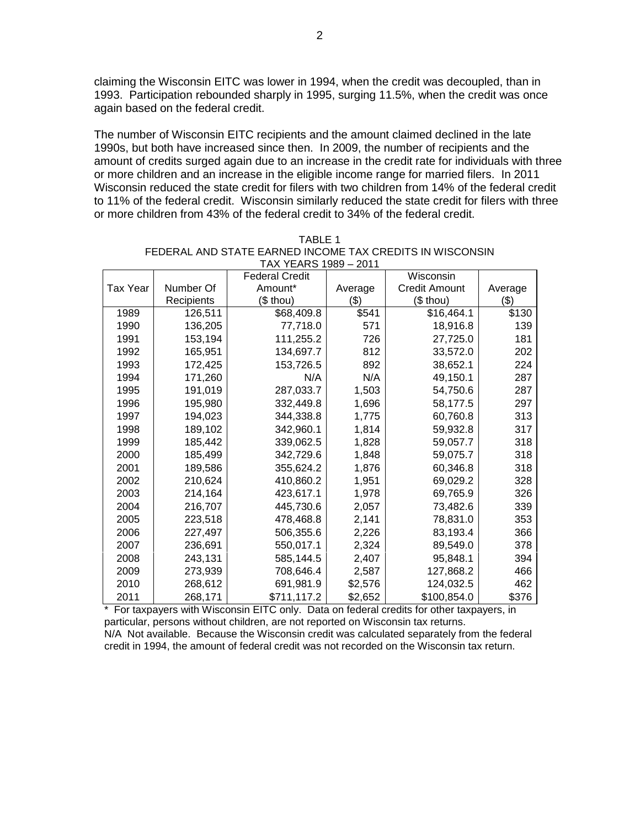claiming the Wisconsin EITC was lower in 1994, when the credit was decoupled, than in 1993. Participation rebounded sharply in 1995, surging 11.5%, when the credit was once again based on the federal credit.

The number of Wisconsin EITC recipients and the amount claimed declined in the late 1990s, but both have increased since then. In 2009, the number of recipients and the amount of credits surged again due to an increase in the credit rate for individuals with three or more children and an increase in the eligible income range for married filers. In 2011 Wisconsin reduced the state credit for filers with two children from 14% of the federal credit to 11% of the federal credit. Wisconsin similarly reduced the state credit for filers with three or more children from 43% of the federal credit to 34% of the federal credit.

|          |            | <b>Federal Credit</b> |         | Wisconsin     |         |
|----------|------------|-----------------------|---------|---------------|---------|
| Tax Year | Number Of  | Amount*               | Average | Credit Amount | Average |
|          | Recipients | (\$ thou)             | (3)     | (\$ thou)     | \$)     |
| 1989     | 126,511    | \$68,409.8            | \$541   | \$16,464.1    | \$130   |
| 1990     | 136,205    | 77,718.0              | 571     | 18,916.8      | 139     |
| 1991     | 153,194    | 111,255.2             | 726     | 27,725.0      | 181     |
| 1992     | 165,951    | 134,697.7             | 812     | 33,572.0      | 202     |
| 1993     | 172,425    | 153,726.5             | 892     | 38,652.1      | 224     |
| 1994     | 171,260    | N/A                   | N/A     | 49,150.1      | 287     |
| 1995     | 191,019    | 287,033.7             | 1,503   | 54,750.6      | 287     |
| 1996     | 195,980    | 332,449.8             | 1,696   | 58,177.5      | 297     |
| 1997     | 194,023    | 344,338.8             | 1,775   | 60,760.8      | 313     |
| 1998     | 189,102    | 342,960.1             | 1,814   | 59,932.8      | 317     |
| 1999     | 185,442    | 339,062.5             | 1,828   | 59,057.7      | 318     |
| 2000     | 185,499    | 342,729.6             | 1,848   | 59,075.7      | 318     |
| 2001     | 189,586    | 355,624.2             | 1,876   | 60,346.8      | 318     |
| 2002     | 210,624    | 410,860.2             | 1,951   | 69,029.2      | 328     |
| 2003     | 214,164    | 423,617.1             | 1,978   | 69,765.9      | 326     |
| 2004     | 216,707    | 445,730.6             | 2,057   | 73,482.6      | 339     |
| 2005     | 223,518    | 478,468.8             | 2,141   | 78,831.0      | 353     |
| 2006     | 227.497    | 506,355.6             | 2,226   | 83,193.4      | 366     |
| 2007     | 236,691    | 550,017.1             | 2,324   | 89,549.0      | 378     |
| 2008     | 243,131    | 585,144.5             | 2,407   | 95,848.1      | 394     |
| 2009     | 273,939    | 708,646.4             | 2,587   | 127,868.2     | 466     |
| 2010     | 268,612    | 691,981.9             | \$2,576 | 124,032.5     | 462     |
| 2011     | 268,171    | \$711,117.2           | \$2,652 | \$100,854.0   | \$376   |

| TARI F 1                                                 |
|----------------------------------------------------------|
| FEDERAL AND STATE EARNED INCOME TAX CREDITS IN WISCONSIN |
| TAX YEARS 1989 - 2011                                    |

\* For taxpayers with Wisconsin EITC only. Data on federal credits for other taxpayers, in particular, persons without children, are not reported on Wisconsin tax returns. N/A Not available. Because the Wisconsin credit was calculated separately from the federal

credit in 1994, the amount of federal credit was not recorded on the Wisconsin tax return.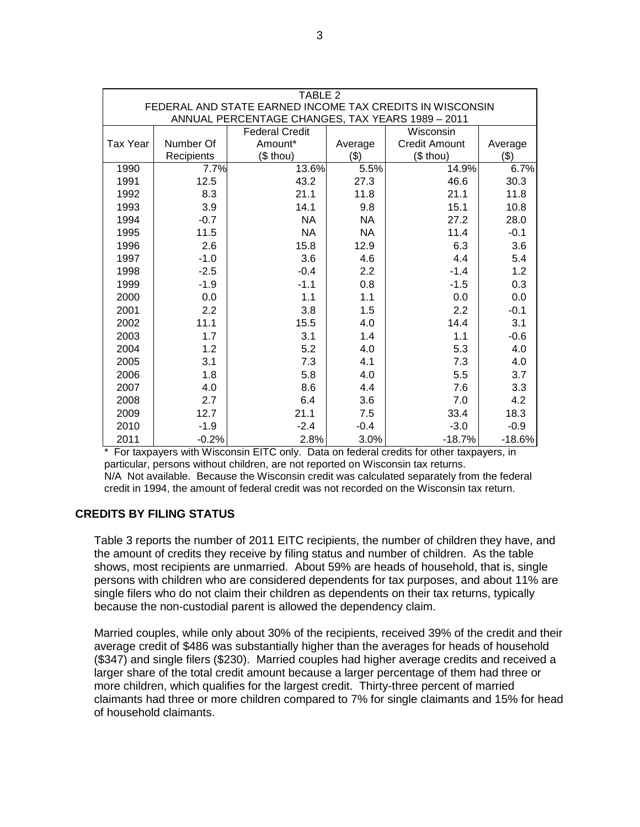| TABLE 2                                                                                                      |                                    |            |           |                      |          |  |  |  |  |
|--------------------------------------------------------------------------------------------------------------|------------------------------------|------------|-----------|----------------------|----------|--|--|--|--|
| FEDERAL AND STATE EARNED INCOME TAX CREDITS IN WISCONSIN<br>ANNUAL PERCENTAGE CHANGES, TAX YEARS 1989 - 2011 |                                    |            |           |                      |          |  |  |  |  |
|                                                                                                              | <b>Federal Credit</b><br>Wisconsin |            |           |                      |          |  |  |  |  |
| <b>Tax Year</b>                                                                                              | Number Of                          | Amount*    | Average   | <b>Credit Amount</b> | Average  |  |  |  |  |
|                                                                                                              | Recipients                         | $($$ thou) | (3)       | (\$ thou)            | (3)      |  |  |  |  |
| 1990                                                                                                         | 7.7%                               | 13.6%      | 5.5%      | 14.9%                | 6.7%     |  |  |  |  |
| 1991                                                                                                         | 12.5                               | 43.2       | 27.3      | 46.6                 | 30.3     |  |  |  |  |
| 1992                                                                                                         | 8.3                                | 21.1       | 11.8      | 21.1                 | 11.8     |  |  |  |  |
| 1993                                                                                                         | 3.9                                | 14.1       | 9.8       | 15.1                 | 10.8     |  |  |  |  |
| 1994                                                                                                         | $-0.7$                             | <b>NA</b>  | <b>NA</b> | 27.2                 | 28.0     |  |  |  |  |
| 1995                                                                                                         | 11.5                               | <b>NA</b>  | <b>NA</b> | 11.4                 | $-0.1$   |  |  |  |  |
| 1996                                                                                                         | 2.6                                | 15.8       | 12.9      | 6.3                  | 3.6      |  |  |  |  |
| 1997                                                                                                         | $-1.0$                             | 3.6        | 4.6       | 4.4                  | 5.4      |  |  |  |  |
| 1998                                                                                                         | $-2.5$                             | $-0.4$     | 2.2       | $-1.4$               | 1.2      |  |  |  |  |
| 1999                                                                                                         | $-1.9$                             | $-1.1$     | 0.8       | $-1.5$               | 0.3      |  |  |  |  |
| 2000                                                                                                         | 0.0                                | 1.1        | 1.1       | 0.0                  | 0.0      |  |  |  |  |
| 2001                                                                                                         | 2.2                                | 3.8        | 1.5       | 2.2                  | $-0.1$   |  |  |  |  |
| 2002                                                                                                         | 11.1                               | 15.5       | 4.0       | 14.4                 | 3.1      |  |  |  |  |
| 2003                                                                                                         | 1.7                                | 3.1        | 1.4       | 1.1                  | $-0.6$   |  |  |  |  |
| 2004                                                                                                         | 1.2                                | 5.2        | 4.0       | 5.3                  | 4.0      |  |  |  |  |
| 2005                                                                                                         | 3.1                                | 7.3        | 4.1       | 7.3                  | 4.0      |  |  |  |  |
| 2006                                                                                                         | 1.8                                | 5.8        | 4.0       | 5.5                  | 3.7      |  |  |  |  |
| 2007                                                                                                         | 4.0                                | 8.6        | 4.4       | 7.6                  | 3.3      |  |  |  |  |
| 2008                                                                                                         | 2.7                                | 6.4        | 3.6       | 7.0                  | 4.2      |  |  |  |  |
| 2009                                                                                                         | 12.7                               | 21.1       | 7.5       | 33.4                 | 18.3     |  |  |  |  |
| 2010                                                                                                         | $-1.9$                             | $-2.4$     | $-0.4$    | $-3.0$               | $-0.9$   |  |  |  |  |
| 2011                                                                                                         | $-0.2%$                            | 2.8%       | 3.0%      | $-18.7%$             | $-18.6%$ |  |  |  |  |

\* For taxpayers with Wisconsin EITC only. Data on federal credits for other taxpayers, in particular, persons without children, are not reported on Wisconsin tax returns. N/A Not available. Because the Wisconsin credit was calculated separately from the federal credit in 1994, the amount of federal credit was not recorded on the Wisconsin tax return.

# **CREDITS BY FILING STATUS**

Table 3 reports the number of 2011 EITC recipients, the number of children they have, and the amount of credits they receive by filing status and number of children. As the table shows, most recipients are unmarried. About 59% are heads of household, that is, single persons with children who are considered dependents for tax purposes, and about 11% are single filers who do not claim their children as dependents on their tax returns, typically because the non-custodial parent is allowed the dependency claim.

Married couples, while only about 30% of the recipients, received 39% of the credit and their average credit of \$486 was substantially higher than the averages for heads of household (\$347) and single filers (\$230). Married couples had higher average credits and received a larger share of the total credit amount because a larger percentage of them had three or more children, which qualifies for the largest credit. Thirty-three percent of married claimants had three or more children compared to 7% for single claimants and 15% for head of household claimants.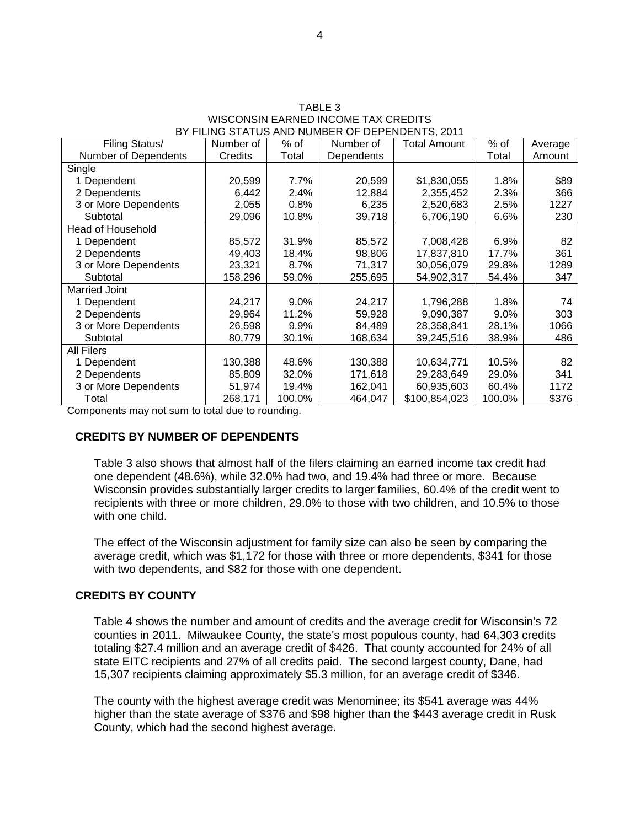|                                                 | TABLE 3 |  |  |
|-------------------------------------------------|---------|--|--|
| WISCONSIN EARNED INCOME TAX CREDITS             |         |  |  |
| BY FILING STATUS AND NUMBER OF DEPENDENTS. 2011 |         |  |  |
|                                                 |         |  |  |

 $\frac{1}{2}$ 

| Filing Status/           | Number of | % of    | Number of  | Total Amount  | % of   | Average |
|--------------------------|-----------|---------|------------|---------------|--------|---------|
| Number of Dependents     | Credits   | Total   | Dependents |               | Total  | Amount  |
| Single                   |           |         |            |               |        |         |
| 1 Dependent              | 20,599    | 7.7%    | 20,599     | \$1,830,055   | 1.8%   | \$89    |
| 2 Dependents             | 6,442     | 2.4%    | 12,884     | 2,355,452     | 2.3%   | 366     |
| 3 or More Dependents     | 2,055     | 0.8%    | 6,235      | 2,520,683     | 2.5%   | 1227    |
| Subtotal                 | 29,096    | 10.8%   | 39,718     | 6,706,190     | 6.6%   | 230     |
| <b>Head of Household</b> |           |         |            |               |        |         |
| 1 Dependent              | 85,572    | 31.9%   | 85,572     | 7,008,428     | 6.9%   | 82      |
| 2 Dependents             | 49,403    | 18.4%   | 98,806     | 17,837,810    | 17.7%  | 361     |
| 3 or More Dependents     | 23,321    | 8.7%    | 71,317     | 30,056,079    | 29.8%  | 1289    |
| Subtotal                 | 158,296   | 59.0%   | 255,695    | 54,902,317    | 54.4%  | 347     |
| Married Joint            |           |         |            |               |        |         |
| 1 Dependent              | 24,217    | 9.0%    | 24,217     | 1,796,288     | 1.8%   | 74      |
| 2 Dependents             | 29,964    | 11.2%   | 59,928     | 9,090,387     | 9.0%   | 303     |
| 3 or More Dependents     | 26,598    | $9.9\%$ | 84,489     | 28,358,841    | 28.1%  | 1066    |
| Subtotal                 | 80,779    | 30.1%   | 168,634    | 39,245,516    | 38.9%  | 486     |
| All Filers               |           |         |            |               |        |         |
| 1 Dependent              | 130,388   | 48.6%   | 130,388    | 10,634,771    | 10.5%  | 82      |
| 2 Dependents             | 85,809    | 32.0%   | 171,618    | 29,283,649    | 29.0%  | 341     |
| 3 or More Dependents     | 51,974    | 19.4%   | 162,041    | 60,935,603    | 60.4%  | 1172    |
| Total                    | 268,171   | 100.0%  | 464,047    | \$100,854,023 | 100.0% | \$376   |

Components may not sum to total due to rounding.

## **CREDITS BY NUMBER OF DEPENDENTS**

Table 3 also shows that almost half of the filers claiming an earned income tax credit had one dependent (48.6%), while 32.0% had two, and 19.4% had three or more. Because Wisconsin provides substantially larger credits to larger families, 60.4% of the credit went to recipients with three or more children, 29.0% to those with two children, and 10.5% to those with one child.

The effect of the Wisconsin adjustment for family size can also be seen by comparing the average credit, which was \$1,172 for those with three or more dependents, \$341 for those with two dependents, and \$82 for those with one dependent.

## **CREDITS BY COUNTY**

Table 4 shows the number and amount of credits and the average credit for Wisconsin's 72 counties in 2011. Milwaukee County, the state's most populous county, had 64,303 credits totaling \$27.4 million and an average credit of \$426. That county accounted for 24% of all state EITC recipients and 27% of all credits paid. The second largest county, Dane, had 15,307 recipients claiming approximately \$5.3 million, for an average credit of \$346.

The county with the highest average credit was Menominee; its \$541 average was 44% higher than the state average of \$376 and \$98 higher than the \$443 average credit in Rusk County, which had the second highest average.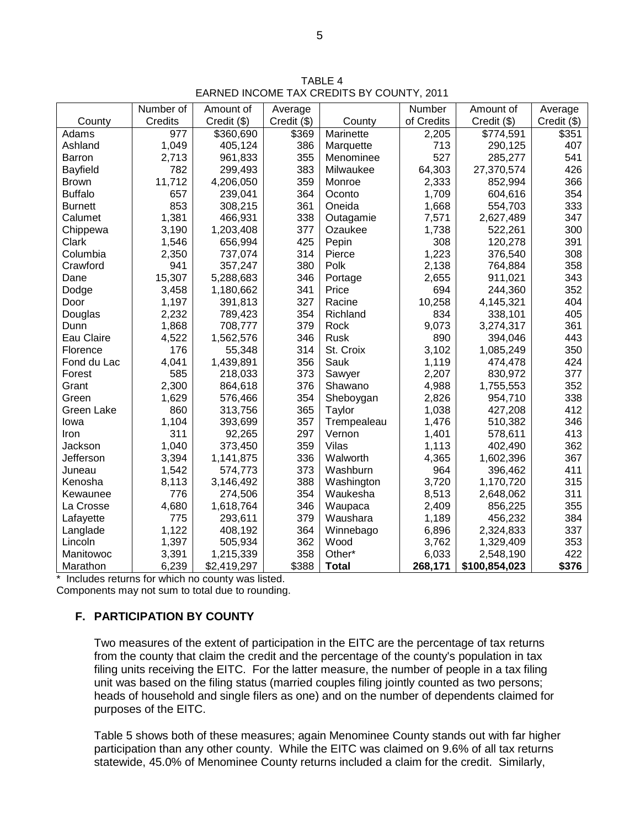TABLE 4 EARNED INCOME TAX CREDITS BY COUNTY, 2011

|                   | Number of | Amount of   | Average       |              | Number     | Amount of     | Average     |
|-------------------|-----------|-------------|---------------|--------------|------------|---------------|-------------|
| County            | Credits   | Credit (\$) | $Credit$ (\$) | County       | of Credits | Credit (\$)   | Credit (\$) |
| Adams             | 977       | \$360,690   | \$369         | Marinette    | 2,205      | \$774,591     | \$351       |
| Ashland           | 1,049     | 405,124     | 386           | Marquette    | 713        | 290,125       | 407         |
| <b>Barron</b>     | 2,713     | 961,833     | 355           | Menominee    | 527        | 285,277       | 541         |
| Bayfield          | 782       | 299,493     | 383           | Milwaukee    | 64,303     | 27,370,574    | 426         |
| <b>Brown</b>      | 11,712    | 4,206,050   | 359           | Monroe       | 2,333      | 852,994       | 366         |
| <b>Buffalo</b>    | 657       | 239,041     | 364           | Oconto       | 1,709      | 604,616       | 354         |
| <b>Burnett</b>    | 853       | 308,215     | 361           | Oneida       | 1,668      | 554,703       | 333         |
| Calumet           | 1,381     | 466,931     | 338           | Outagamie    | 7,571      | 2,627,489     | 347         |
| Chippewa          | 3,190     | 1,203,408   | 377           | Ozaukee      | 1,738      | 522,261       | 300         |
| Clark             | 1,546     | 656,994     | 425           | Pepin        | 308        | 120,278       | 391         |
| Columbia          | 2,350     | 737,074     | 314           | Pierce       | 1,223      | 376,540       | 308         |
| Crawford          | 941       | 357,247     | 380           | Polk         | 2,138      | 764,884       | 358         |
| Dane              | 15,307    | 5,288,683   | 346           | Portage      | 2,655      | 911,021       | 343         |
| Dodge             | 3,458     | 1,180,662   | 341           | Price        | 694        | 244,360       | 352         |
| Door              | 1,197     | 391,813     | 327           | Racine       | 10,258     | 4,145,321     | 404         |
| Douglas           | 2,232     | 789,423     | 354           | Richland     | 834        | 338,101       | 405         |
| Dunn              | 1,868     | 708,777     | 379           | Rock         | 9,073      | 3,274,317     | 361         |
| Eau Claire        | 4,522     | 1,562,576   | 346           | Rusk         | 890        | 394,046       | 443         |
| Florence          | 176       | 55,348      | 314           | St. Croix    | 3,102      | 1,085,249     | 350         |
| Fond du Lac       | 4,041     | 1,439,891   | 356           | Sauk         | 1,119      | 474,478       | 424         |
| Forest            | 585       | 218,033     | 373           | Sawyer       | 2,207      | 830,972       | 377         |
| Grant             | 2,300     | 864,618     | 376           | Shawano      | 4,988      | 1,755,553     | 352         |
| Green             | 1,629     | 576,466     | 354           | Sheboygan    | 2,826      | 954,710       | 338         |
| <b>Green Lake</b> | 860       | 313,756     | 365           | Taylor       | 1,038      | 427,208       | 412         |
| lowa              | 1,104     | 393,699     | 357           | Trempealeau  | 1,476      | 510,382       | 346         |
| Iron              | 311       | 92,265      | 297           | Vernon       | 1,401      | 578,611       | 413         |
| Jackson           | 1,040     | 373,450     | 359           | Vilas        | 1,113      | 402,490       | 362         |
| Jefferson         | 3,394     | 1,141,875   | 336           | Walworth     | 4,365      | 1,602,396     | 367         |
| Juneau            | 1,542     | 574,773     | 373           | Washburn     | 964        | 396,462       | 411         |
| Kenosha           | 8,113     | 3,146,492   | 388           | Washington   | 3,720      | 1,170,720     | 315         |
| Kewaunee          | 776       | 274,506     | 354           | Waukesha     | 8,513      | 2,648,062     | 311         |
| La Crosse         | 4,680     | 1,618,764   | 346           | Waupaca      | 2,409      | 856,225       | 355         |
| Lafayette         | 775       | 293,611     | 379           | Waushara     | 1,189      | 456,232       | 384         |
| Langlade          | 1,122     | 408,192     | 364           | Winnebago    | 6,896      | 2,324,833     | 337         |
| Lincoln           | 1,397     | 505,934     | 362           | Wood         | 3,762      | 1,329,409     | 353         |
| Manitowoc         | 3,391     | 1,215,339   | 358           | Other*       | 6,033      | 2,548,190     | 422         |
| Marathon          | 6,239     | \$2,419,297 | \$388         | <b>Total</b> | 268,171    | \$100,854,023 | \$376       |

\* Includes returns for which no county was listed. Components may not sum to total due to rounding.

# **F. PARTICIPATION BY COUNTY**

Two measures of the extent of participation in the EITC are the percentage of tax returns from the county that claim the credit and the percentage of the county's population in tax filing units receiving the EITC. For the latter measure, the number of people in a tax filing unit was based on the filing status (married couples filing jointly counted as two persons; heads of household and single filers as one) and on the number of dependents claimed for purposes of the EITC.

Table 5 shows both of these measures; again Menominee County stands out with far higher participation than any other county. While the EITC was claimed on 9.6% of all tax returns statewide, 45.0% of Menominee County returns included a claim for the credit. Similarly,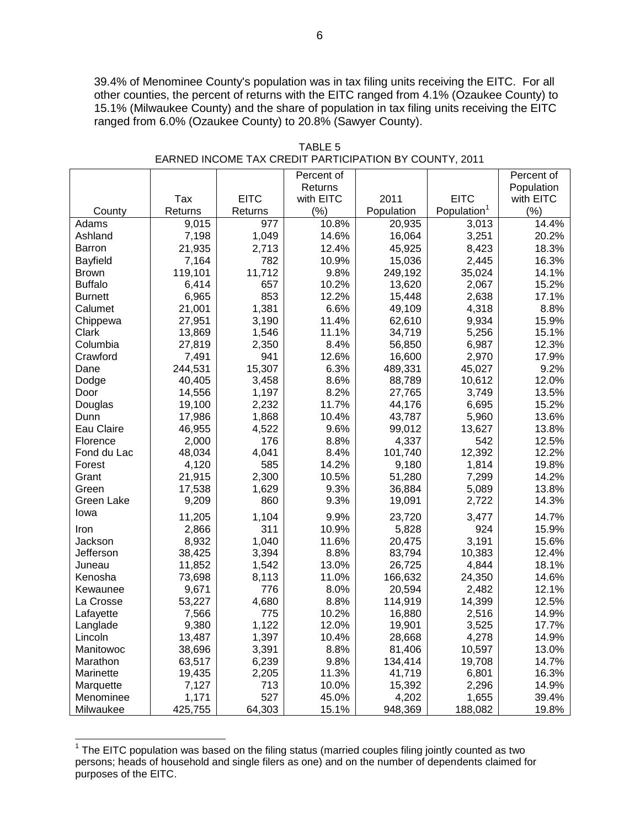39.4% of Menominee County's population was in tax filing units receiving the EITC. For all other counties, the percent of returns with the EITC ranged from 4.1% (Ozaukee County) to 15.1% (Milwaukee County) and the share of population in tax filing units receiving the EITC ranged from 6.0% (Ozaukee County) to 20.8% (Sawyer County).

|                 |         |             | Percent of |            |                         | Percent of |
|-----------------|---------|-------------|------------|------------|-------------------------|------------|
|                 |         |             | Returns    |            |                         | Population |
|                 | Tax     | <b>EITC</b> | with EITC  | 2011       | <b>EITC</b>             | with EITC  |
| County          | Returns | Returns     | (%)        | Population | Population <sup>1</sup> | (% )       |
| Adams           | 9,015   | 977         | 10.8%      | 20,935     | 3,013                   | 14.4%      |
| Ashland         | 7,198   | 1,049       | 14.6%      | 16,064     | 3,251                   | 20.2%      |
| Barron          | 21,935  | 2,713       | 12.4%      | 45,925     | 8,423                   | 18.3%      |
| <b>Bayfield</b> | 7,164   | 782         | 10.9%      | 15,036     | 2,445                   | 16.3%      |
| <b>Brown</b>    | 119,101 | 11,712      | 9.8%       | 249,192    | 35,024                  | 14.1%      |
| <b>Buffalo</b>  | 6,414   | 657         | 10.2%      | 13,620     | 2,067                   | 15.2%      |
| <b>Burnett</b>  | 6,965   | 853         | 12.2%      | 15,448     | 2,638                   | 17.1%      |
| Calumet         | 21,001  | 1,381       | 6.6%       | 49,109     | 4,318                   | 8.8%       |
| Chippewa        | 27,951  | 3,190       | 11.4%      | 62,610     | 9,934                   | 15.9%      |
| Clark           | 13,869  | 1,546       | 11.1%      | 34,719     | 5,256                   | 15.1%      |
| Columbia        | 27,819  | 2,350       | 8.4%       | 56,850     | 6,987                   | 12.3%      |
| Crawford        | 7,491   | 941         | 12.6%      | 16,600     | 2,970                   | 17.9%      |
| Dane            | 244,531 | 15,307      | 6.3%       | 489,331    | 45,027                  | 9.2%       |
| Dodge           | 40,405  | 3,458       | 8.6%       | 88,789     | 10,612                  | 12.0%      |
| Door            | 14,556  | 1,197       | 8.2%       | 27,765     | 3,749                   | 13.5%      |
| Douglas         | 19,100  | 2,232       | 11.7%      | 44,176     | 6,695                   | 15.2%      |
| Dunn            | 17,986  | 1,868       | 10.4%      | 43,787     | 5,960                   | 13.6%      |
| Eau Claire      | 46,955  | 4,522       | 9.6%       | 99,012     | 13,627                  | 13.8%      |
| Florence        | 2,000   | 176         | 8.8%       | 4,337      | 542                     | 12.5%      |
| Fond du Lac     | 48,034  | 4,041       | 8.4%       | 101,740    | 12,392                  | 12.2%      |
| Forest          | 4,120   | 585         | 14.2%      | 9,180      | 1,814                   | 19.8%      |
| Grant           | 21,915  | 2,300       | 10.5%      | 51,280     | 7,299                   | 14.2%      |
| Green           | 17,538  | 1,629       | 9.3%       | 36,884     | 5,089                   | 13.8%      |
| Green Lake      | 9,209   | 860         | 9.3%       | 19,091     | 2,722                   | 14.3%      |
| lowa            | 11,205  | 1,104       | 9.9%       | 23,720     | 3,477                   | 14.7%      |
| Iron            | 2,866   | 311         | 10.9%      | 5,828      | 924                     | 15.9%      |
| Jackson         | 8,932   | 1,040       | 11.6%      | 20,475     | 3,191                   | 15.6%      |
| Jefferson       | 38,425  | 3,394       | 8.8%       | 83,794     | 10,383                  | 12.4%      |
| Juneau          | 11,852  | 1,542       | 13.0%      | 26,725     | 4,844                   | 18.1%      |
| Kenosha         | 73,698  | 8,113       | 11.0%      | 166,632    | 24,350                  | 14.6%      |
| Kewaunee        | 9,671   | 776         | 8.0%       | 20,594     | 2,482                   | 12.1%      |
| La Crosse       | 53,227  | 4,680       | 8.8%       | 114,919    | 14,399                  | 12.5%      |
| Lafayette       | 7,566   | 775         | 10.2%      | 16,880     | 2,516                   | 14.9%      |
| Langlade        | 9,380   | 1,122       | 12.0%      | 19,901     | 3,525                   | 17.7%      |
| Lincoln         | 13,487  | 1,397       | 10.4%      | 28,668     | 4,278                   | 14.9%      |
| Manitowoc       | 38,696  | 3,391       | 8.8%       | 81,406     | 10,597                  | 13.0%      |
| Marathon        | 63,517  | 6,239       | 9.8%       | 134,414    | 19,708                  | 14.7%      |
| Marinette       | 19,435  | 2,205       | 11.3%      | 41,719     | 6,801                   | 16.3%      |
| Marquette       | 7,127   | 713         | 10.0%      | 15,392     | 2,296                   | 14.9%      |
| Menominee       | 1,171   | 527         | 45.0%      | 4,202      | 1,655                   | 39.4%      |
| Milwaukee       | 425,755 | 64,303      | 15.1%      | 948,369    | 188,082                 | 19.8%      |

TABLE 5 EARNED INCOME TAX CREDIT PARTICIPATION BY COUNTY, 2011

 $\overline{a}$ 

 $1$  The EITC population was based on the filing status (married couples filing jointly counted as two persons; heads of household and single filers as one) and on the number of dependents claimed for purposes of the EITC.